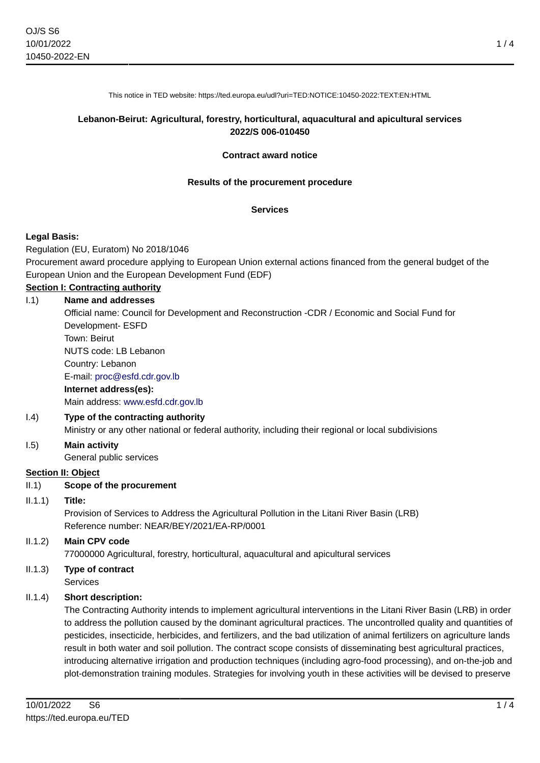This notice in TED website: https://ted.europa.eu/udl?uri=TED:NOTICE:10450-2022:TEXT:EN:HTML

#### **Lebanon-Beirut: Agricultural, forestry, horticultural, aquacultural and apicultural services 2022/S 006-010450**

#### **Contract award notice**

#### **Results of the procurement procedure**

#### **Services**

#### **Legal Basis:**

Regulation (EU, Euratom) No 2018/1046

Procurement award procedure applying to European Union external actions financed from the general budget of the European Union and the European Development Fund (EDF)

#### **Section I: Contracting authority**

## I.1) **Name and addresses** Official name: Council for Development and Reconstruction -CDR / Economic and Social Fund for Development- ESFD Town: Beirut NUTS code: LB Lebanon Country: Lebanon E-mail: [proc@esfd.cdr.gov.lb](mailto:proc@esfd.cdr.gov.lb) **Internet address(es):** Main address:<www.esfd.cdr.gov.lb> I.4) **Type of the contracting authority**

Ministry or any other national or federal authority, including their regional or local subdivisions

# I.5) **Main activity**

General public services

#### **Section II: Object**

#### II.1) **Scope of the procurement**

#### II.1.1) **Title:**

Provision of Services to Address the Agricultural Pollution in the Litani River Basin (LRB) Reference number: NEAR/BEY/2021/EA-RP/0001

# II.1.2) **Main CPV code**

77000000 Agricultural, forestry, horticultural, aquacultural and apicultural services

# II.1.3) **Type of contract**

**Services** 

## II.1.4) **Short description:**

The Contracting Authority intends to implement agricultural interventions in the Litani River Basin (LRB) in order to address the pollution caused by the dominant agricultural practices. The uncontrolled quality and quantities of pesticides, insecticide, herbicides, and fertilizers, and the bad utilization of animal fertilizers on agriculture lands result in both water and soil pollution. The contract scope consists of disseminating best agricultural practices, introducing alternative irrigation and production techniques (including agro-food processing), and on-the-job and plot-demonstration training modules. Strategies for involving youth in these activities will be devised to preserve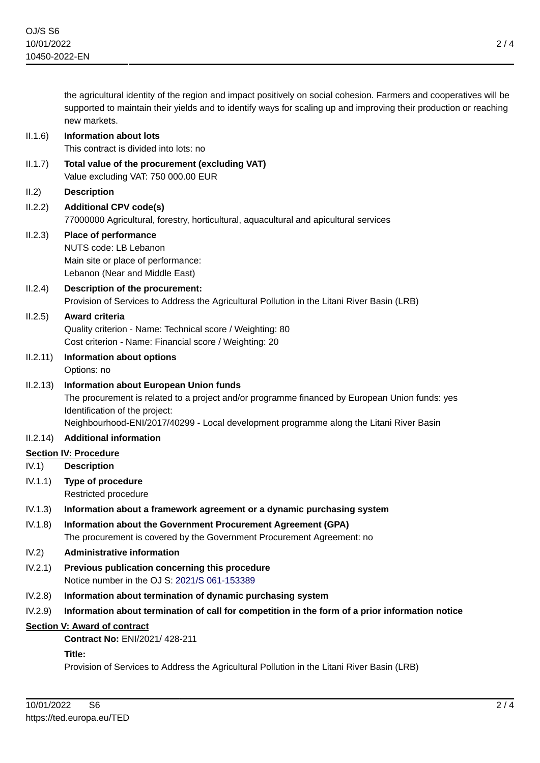the agricultural identity of the region and impact positively on social cohesion. Farmers and cooperatives will be supported to maintain their yields and to identify ways for scaling up and improving their production or reaching new markets.

#### II.1.6) **Information about lots**

This contract is divided into lots: no

- II.1.7) **Total value of the procurement (excluding VAT)** Value excluding VAT: 750 000.00 EUR
- II.2) **Description**
- II.2.2) **Additional CPV code(s)** 77000000 Agricultural, forestry, horticultural, aquacultural and apicultural services

#### II.2.3) **Place of performance** NUTS code: LB Lebanon

Main site or place of performance: Lebanon (Near and Middle East)

## II.2.4) **Description of the procurement:** Provision of Services to Address the Agricultural Pollution in the Litani River Basin (LRB)

# II.2.5) **Award criteria**

Quality criterion - Name: Technical score / Weighting: 80 Cost criterion - Name: Financial score / Weighting: 20

- II.2.11) **Information about options** Options: no
- II.2.13) **Information about European Union funds**

The procurement is related to a project and/or programme financed by European Union funds: yes Identification of the project:

Neighbourhood-ENI/2017/40299 - Local development programme along the Litani River Basin

#### II.2.14) **Additional information**

## **Section IV: Procedure**

- IV.1) **Description**
- IV.1.1) **Type of procedure** Restricted procedure

## IV.1.3) **Information about a framework agreement or a dynamic purchasing system**

IV.1.8) **Information about the Government Procurement Agreement (GPA)** The procurement is covered by the Government Procurement Agreement: no

## IV.2) **Administrative information**

- IV.2.1) **Previous publication concerning this procedure** Notice number in the OJ S: [2021/S 061-153389](https://ted.europa.eu/udl?uri=TED:NOTICE:153389-2021:TEXT:EN:HTML)
- IV.2.8) **Information about termination of dynamic purchasing system**
- IV.2.9) **Information about termination of call for competition in the form of a prior information notice**

#### **Section V: Award of contract**

**Contract No:** ENI/2021/ 428-211

#### **Title:**

Provision of Services to Address the Agricultural Pollution in the Litani River Basin (LRB)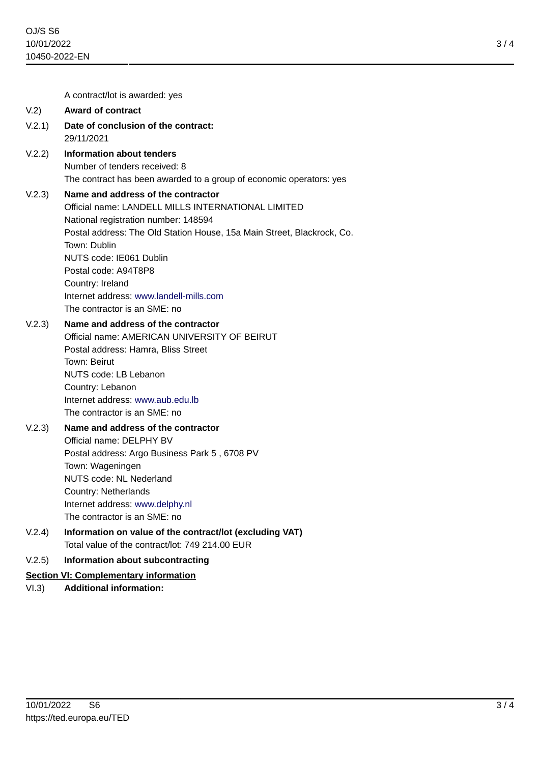3 / 4

A contract/lot is awarded: yes

#### V.2) **Award of contract**

- V.2.1) **Date of conclusion of the contract:** 29/11/2021
- V.2.2) **Information about tenders** Number of tenders received: 8 The contract has been awarded to a group of economic operators: yes

#### V.2.3) **Name and address of the contractor**

Official name: LANDELL MILLS INTERNATIONAL LIMITED National registration number: 148594 Postal address: The Old Station House, 15a Main Street, Blackrock, Co. Town: Dublin NUTS code: IE061 Dublin Postal code: A94T8P8 Country: Ireland Internet address: <www.landell-mills.com> The contractor is an SME: no

## V.2.3) **Name and address of the contractor**

Official name: AMERICAN UNIVERSITY OF BEIRUT Postal address: Hamra, Bliss Street Town: Beirut NUTS code: LB Lebanon Country: Lebanon Internet address: <www.aub.edu.lb> The contractor is an SME: no

## V.2.3) **Name and address of the contractor** Official name: DELPHY BV Postal address: Argo Business Park 5 , 6708 PV Town: Wageningen NUTS code: NL Nederland Country: Netherlands Internet address: <www.delphy.nl> The contractor is an SME: no

V.2.4) **Information on value of the contract/lot (excluding VAT)** Total value of the contract/lot: 749 214.00 EUR

## V.2.5) **Information about subcontracting**

#### **Section VI: Complementary information**

VI.3) **Additional information:**